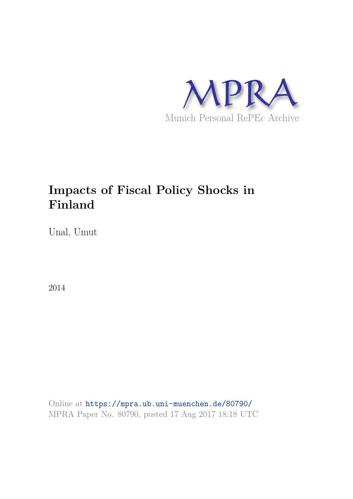

# **Impacts of Fiscal Policy Shocks in Finland**

Unal, Umut

2014

Online at https://mpra.ub.uni-muenchen.de/80790/ MPRA Paper No. 80790, posted 17 Aug 2017 18:18 UTC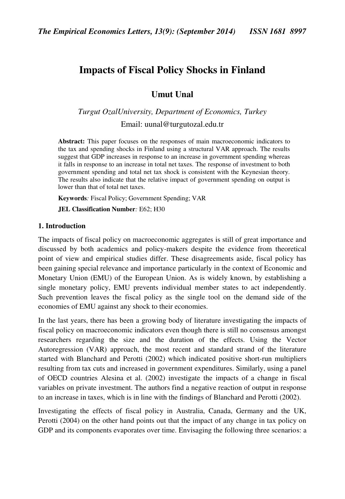## **Impacts of Fiscal Policy Shocks in Finland**

**Umut Unal** 

*Turgut OzalUniversity, Department of Economics, Turkey*  Email: [uunal@turgutozal.edu.tr](mailto:unalumut@gmail.com) 

**Abstract:** This paper focuses on the responses of main macroeconomic indicators to the tax and spending shocks in Finland using a structural VAR approach. The results suggest that GDP increases in response to an increase in government spending whereas it falls in response to an increase in total net taxes. The response of investment to both government spending and total net tax shock is consistent with the Keynesian theory. The results also indicate that the relative impact of government spending on output is lower than that of total net taxes.

**Keywords***:* Fiscal Policy; Government Spending; VAR

**JEL Classification Number***:* E62; H30

#### **1. Introduction**

The impacts of fiscal policy on macroeconomic aggregates is still of great importance and discussed by both academics and policy-makers despite the evidence from theoretical point of view and empirical studies differ. These disagreements aside, fiscal policy has been gaining special relevance and importance particularly in the context of Economic and Monetary Union (EMU) of the European Union. As is widely known, by establishing a single monetary policy, EMU prevents individual member states to act independently. Such prevention leaves the fiscal policy as the single tool on the demand side of the economies of EMU against any shock to their economies.

In the last years, there has been a growing body of literature investigating the impacts of fiscal policy on macroeconomic indicators even though there is still no consensus amongst researchers regarding the size and the duration of the effects. Using the Vector Autoregression (VAR) approach, the most recent and standard strand of the literature started with Blanchard and Perotti (2002) which indicated positive short-run multipliers resulting from tax cuts and increased in government expenditures. Similarly, using a panel of OECD countries Alesina et al. (2002) investigate the impacts of a change in fiscal variables on private investment. The authors find a negative reaction of output in response to an increase in taxes, which is in line with the findings of Blanchard and Perotti (2002).

Investigating the effects of fiscal policy in Australia, Canada, Germany and the UK, Perotti (2004) on the other hand points out that the impact of any change in tax policy on GDP and its components evaporates over time. Envisaging the following three scenarios: a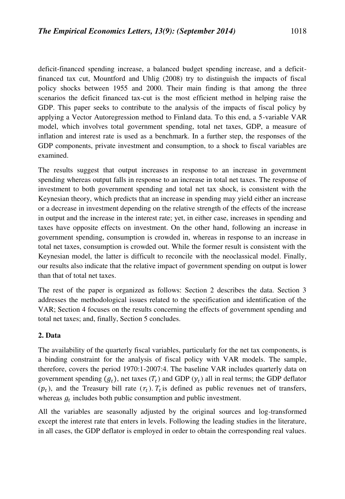deficit-financed spending increase, a balanced budget spending increase, and a deficitfinanced tax cut, Mountford and Uhlig (2008) try to distinguish the impacts of fiscal policy shocks between 1955 and 2000. Their main finding is that among the three scenarios the deficit financed tax-cut is the most efficient method in helping raise the GDP. This paper seeks to contribute to the analysis of the impacts of fiscal policy by applying a Vector Autoregression method to Finland data. To this end, a 5-variable VAR model, which involves total government spending, total net taxes, GDP, a measure of inflation and interest rate is used as a benchmark. In a further step, the responses of the GDP components, private investment and consumption, to a shock to fiscal variables are examined.

The results suggest that output increases in response to an increase in government spending whereas output falls in response to an increase in total net taxes. The response of investment to both government spending and total net tax shock, is consistent with the Keynesian theory, which predicts that an increase in spending may yield either an increase or a decrease in investment depending on the relative strength of the effects of the increase in output and the increase in the interest rate; yet, in either case, increases in spending and taxes have opposite effects on investment. On the other hand, following an increase in government spending, consumption is crowded in, whereas in response to an increase in total net taxes, consumption is crowded out. While the former result is consistent with the Keynesian model, the latter is difficult to reconcile with the neoclassical model. Finally, our results also indicate that the relative impact of government spending on output is lower than that of total net taxes.

The rest of the paper is organized as follows: Section 2 describes the data. Section 3 addresses the methodological issues related to the specification and identification of the VAR; Section 4 focuses on the results concerning the effects of government spending and total net taxes; and, finally, Section 5 concludes.

### **2. Data**

The availability of the quarterly fiscal variables, particularly for the net tax components, is a binding constraint for the analysis of fiscal policy with VAR models. The sample, therefore, covers the period 1970:1-2007:4. The baseline VAR includes quarterly data on government spending  $(g_t)$ , net taxes  $(T_t)$  and GDP  $(y_t)$  all in real terms; the GDP deflator  $(p_t)$ , and the Treasury bill rate  $(r_t)$ .  $T_t$  is defined as public revenues net of transfers, whereas  $g_t$  includes both public consumption and public investment.

All the variables are seasonally adjusted by the original sources and log-transformed except the interest rate that enters in levels. Following the leading studies in the literature, in all cases, the GDP deflator is employed in order to obtain the corresponding real values.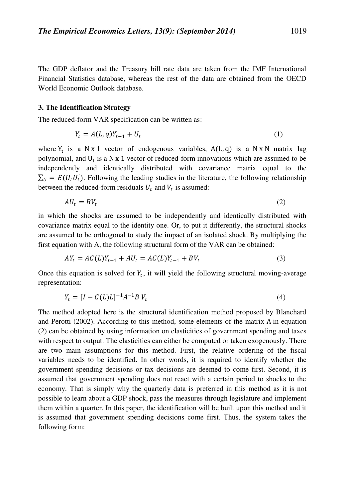The GDP deflator and the Treasury bill rate data are taken from the IMF International Financial Statistics database, whereas the rest of the data are obtained from the OECD World Economic Outlook database.

#### **3. The Identification Strategy**

The reduced-form VAR specification can be written as:

$$
Y_t = A(L, q)Y_{t-1} + U_t
$$
 (1)

where  $Y_t$  is a N x 1 vector of endogenous variables,  $A(L, q)$  is a N x N matrix lag polynomial, and  $U_t$  is a N x 1 vector of reduced-form innovations which are assumed to be independently and identically distributed with covariance matrix equal to the  $\Sigma_{U} = E(U_t U'_t)$ . Following the leading studies in the literature, the following relationship between the reduced-form residuals  $U_t$  and  $V_t$  is assumed:

$$
A U_t = B V_t \tag{2}
$$

in which the shocks are assumed to be independently and identically distributed with covariance matrix equal to the identity one. Or, to put it differently, the structural shocks are assumed to be orthogonal to study the impact of an isolated shock. By multiplying the first equation with A, the following structural form of the VAR can be obtained:

$$
AY_t = AC(L)Y_{t-1} + AU_t = AC(L)Y_{t-1} + BV_t
$$
\n(3)

Once this equation is solved for  $Y_t$ , it will yield the following structural moving-average representation:

$$
Y_t = [I - C(L)L]^{-1}A^{-1}B V_t
$$
\n(4)

The method adopted here is the structural identification method proposed by Blanchard and Perotti (2002). According to this method, some elements of the matrix A in equation (2) can be obtained by using information on elasticities of government spending and taxes with respect to output. The elasticities can either be computed or taken exogenously. There are two main assumptions for this method. First, the relative ordering of the fiscal variables needs to be identified. In other words, it is required to identify whether the government spending decisions or tax decisions are deemed to come first. Second, it is assumed that government spending does not react with a certain period to shocks to the economy. That is simply why the quarterly data is preferred in this method as it is not possible to learn about a GDP shock, pass the measures through legislature and implement them within a quarter. In this paper, the identification will be built upon this method and it is assumed that government spending decisions come first. Thus, the system takes the following form: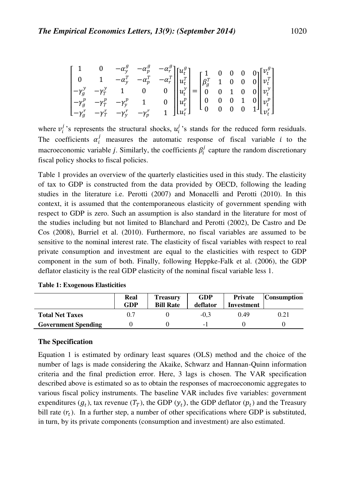$$
\begin{bmatrix} 1 & 0 & -\alpha_y^g & -\alpha_p^g & -\alpha_r^g \\ 0 & 1 & -\alpha_y^T & -\alpha_p^T & -\alpha_r^T \\ -\gamma_g^y & -\gamma_r^y & 1 & 0 & 0 \\ -\gamma_g^p & -\gamma_r^p & -\gamma_p^p & 1 & 0 \\ -\gamma_g^p & -\gamma_r^r & -\gamma_y^r & -\gamma_p^r & 1 \end{bmatrix} \begin{bmatrix} u_t^g \\ u_t^r \\ u_t^v \\ u_t^v \\ u_t^r \end{bmatrix} = \begin{bmatrix} 1 & 0 & 0 & 0 & 0 \\ \beta_g^T & 1 & 0 & 0 & 0 \\ 0 & 0 & 1 & 0 & 0 \\ 0 & 0 & 0 & 1 & 0 \\ 0 & 0 & 0 & 0 & 1 \end{bmatrix} \begin{bmatrix} v_t^g \\ v_t^r \\ v_t^v \\ v_t^v \\ v_t^r \end{bmatrix}
$$

where  $v_i^j$ 's represents the structural shocks,  $u_i^j$ 's stands for the reduced form residuals. The coefficients  $\alpha_i^j$  measures the automatic response of fiscal variable *i* to the macroeconomic variable *j*. Similarly, the coefficients  $\beta_i^j$  capture the random discretionary fiscal policy shocks to fiscal policies.

Table 1 provides an overview of the quarterly elasticities used in this study. The elasticity of tax to GDP is constructed from the data provided by OECD, following the leading studies in the literature i.e. Perotti (2007) and Monacelli and Perotti (2010). In this context, it is assumed that the contemporaneous elasticity of government spending with respect to GDP is zero. Such an assumption is also standard in the literature for most of the studies including but not limited to Blanchard and Perotti (2002), De Castro and De Cos (2008), Burriel et al. (2010). Furthermore, no fiscal variables are assumed to be sensitive to the nominal interest rate. The elasticity of fiscal variables with respect to real private consumption and investment are equal to the elasticities with respect to GDP component in the sum of both. Finally, following Heppke-Falk et al. (2006), the GDP deflator elasticity is the real GDP elasticity of the nominal fiscal variable less 1.

|                            | Real<br>GDP | <b>Treasury</b><br><b>Bill Rate</b> | <b>GDP</b><br>deflator | <b>Private</b><br><b>Investment</b> | <b>Consumption</b> |
|----------------------------|-------------|-------------------------------------|------------------------|-------------------------------------|--------------------|
| <b>Total Net Taxes</b>     | 0.7         |                                     | $-0.3$                 | 0.49                                | 0.21               |
| <b>Government Spending</b> |             |                                     |                        |                                     |                    |

**Table 1: Exogenous Elasticities** 

#### **The Specification**

Equation 1 is estimated by ordinary least squares (OLS) method and the choice of the number of lags is made considering the Akaike, Schwarz and Hannan-Quinn information criteria and the final prediction error. Here, 3 lags is chosen. The VAR specification described above is estimated so as to obtain the responses of macroeconomic aggregates to various fiscal policy instruments. The baseline VAR includes five variables: government expenditures  $(g_t)$ , tax revenue  $(T_T)$ , the GDP  $(y_t)$ , the GDP deflator  $(p_t)$  and the Treasury bill rate  $(r_t)$ . In a further step, a number of other specifications where GDP is substituted, in turn, by its private components (consumption and investment) are also estimated.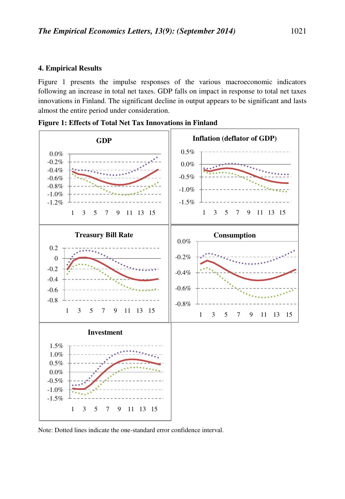#### **4. Empirical Results**

Figure 1 presents the impulse responses of the various macroeconomic indicators following an increase in total net taxes. GDP falls on impact in response to total net taxes innovations in Finland. The significant decline in output appears to be significant and lasts almost the entire period under consideration.



**Figure 1: Effects of Total Net Tax Innovations in Finland** 

Note: Dotted lines indicate the one-standard error confidence interval.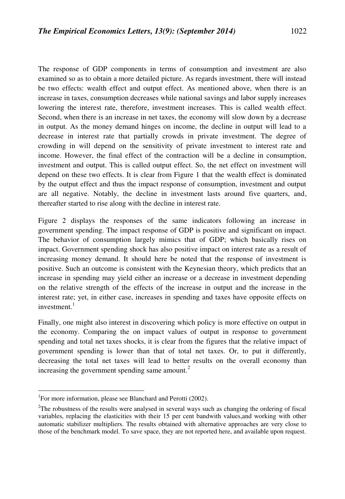The response of GDP components in terms of consumption and investment are also examined so as to obtain a more detailed picture. As regards investment, there will instead be two effects: wealth effect and output effect. As mentioned above, when there is an increase in taxes, consumption decreases while national savings and labor supply increases lowering the interest rate, therefore, investment increases. This is called wealth effect. Second, when there is an increase in net taxes, the economy will slow down by a decrease in output. As the money demand hinges on income, the decline in output will lead to a decrease in interest rate that partially crowds in private investment. The degree of crowding in will depend on the sensitivity of private investment to interest rate and income. However, the final effect of the contraction will be a decline in consumption, investment and output. This is called output effect. So, the net effect on investment will depend on these two effects. It is clear from Figure 1 that the wealth effect is dominated by the output effect and thus the impact response of consumption, investment and output are all negative. Notably, the decline in investment lasts around five quarters, and, thereafter started to rise along with the decline in interest rate.

Figure 2 displays the responses of the same indicators following an increase in government spending. The impact response of GDP is positive and significant on impact. The behavior of consumption largely mimics that of GDP; which basically rises on impact. Government spending shock has also positive impact on interest rate as a result of increasing money demand. It should here be noted that the response of investment is positive. Such an outcome is consistent with the Keynesian theory, which predicts that an increase in spending may yield either an increase or a decrease in investment depending on the relative strength of the effects of the increase in output and the increase in the interest rate; yet, in either case, increases in spending and taxes have opposite effects on investment.<sup>1</sup>

Finally, one might also interest in discovering which policy is more effective on output in the economy. Comparing the on impact values of output in response to government spending and total net taxes shocks, it is clear from the figures that the relative impact of government spending is lower than that of total net taxes. Or, to put it differently, decreasing the total net taxes will lead to better results on the overall economy than increasing the government spending same amount. $<sup>2</sup>$ </sup>

 $\overline{a}$ 

<sup>&</sup>lt;sup>1</sup>For more information, please see Blanchard and Perotti (2002).

 $2$ The robustness of the results were analysed in several ways such as changing the ordering of fiscal variables, replacing the elasticities with their 15 per cent bandwith values,and working with other automatic stabilizer multipliers. The results obtained with alternative approaches are very close to those of the benchmark model. To save space, they are not reported here, and available upon request.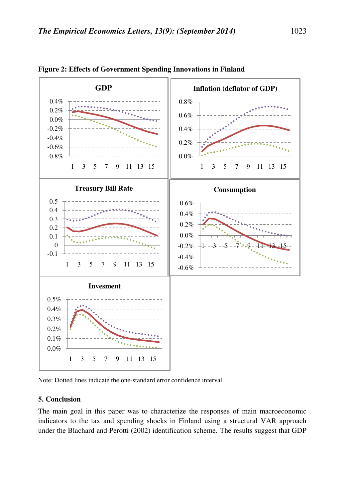

**Figure 2: Effects of Government Spending Innovations in Finland** 

#### **5. Conclusion**

The main goal in this paper was to characterize the responses of main macroeconomic indicators to the tax and spending shocks in Finland using a structural VAR approach under the Blachard and Perotti (2002) identification scheme. The results suggest that GDP

Note: Dotted lines indicate the one-standard error confidence interval.